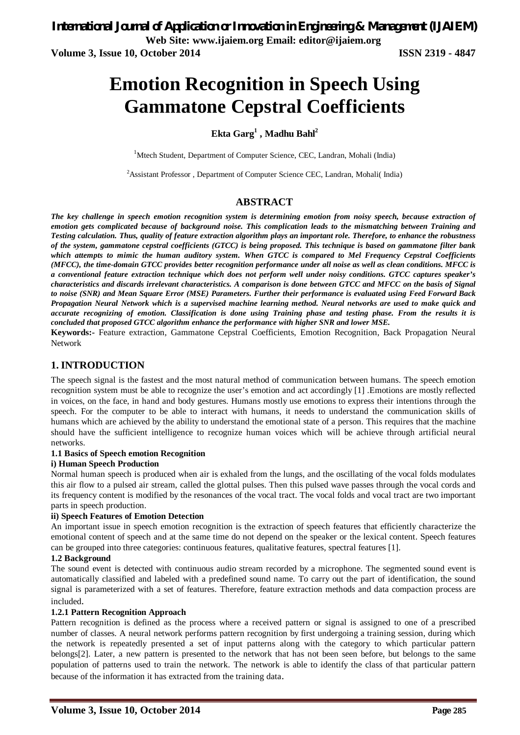**Web Site: www.ijaiem.org Email: editor@ijaiem.org**

**Volume 3, Issue 10, October 2014 ISSN 2319 - 4847**

# **Emotion Recognition in Speech Using Gammatone Cepstral Coefficients**

## **Ekta Garg<sup>1</sup> , Madhu Bahl<sup>2</sup>**

<sup>1</sup>Mtech Student, Department of Computer Science, CEC, Landran, Mohali (India)

<sup>2</sup>Assistant Professor, Department of Computer Science CEC, Landran, Mohali( India)

#### **ABSTRACT**

*The key challenge in speech emotion recognition system is determining emotion from noisy speech, because extraction of emotion gets complicated because of background noise. This complication leads to the mismatching between Training and Testing calculation. Thus, quality of feature extraction algorithm plays an important role. Therefore, to enhance the robustness of the system, gammatone cepstral coefficients (GTCC) is being proposed. This technique is based on gammatone filter bank which attempts to mimic the human auditory system. When GTCC is compared to Mel Frequency Cepstral Coefficients (MFCC), the time-domain GTCC provides better recognition performance under all noise as well as clean conditions. MFCC is a conventional feature extraction technique which does not perform well under noisy conditions. GTCC captures speaker's characteristics and discards irrelevant characteristics. A comparison is done between GTCC and MFCC on the basis of Signal to noise (SNR) and Mean Square Error (MSE) Parameters. Further their performance is evaluated using Feed Forward Back Propagation Neural Network which is a supervised machine learning method. Neural networks are used to make quick and accurate recognizing of emotion. Classification is done using Training phase and testing phase. From the results it is concluded that proposed GTCC algorithm enhance the performance with higher SNR and lower MSE.*

**Keywords:-** Feature extraction, Gammatone Cepstral Coefficients, Emotion Recognition, Back Propagation Neural Network

#### **1. INTRODUCTION**

The speech signal is the fastest and the most natural method of communication between humans. The speech emotion recognition system must be able to recognize the user's emotion and act accordingly [1] .Emotions are mostly reflected in voices, on the face, in hand and body gestures. Humans mostly use emotions to express their intentions through the speech. For the computer to be able to interact with humans, it needs to understand the communication skills of humans which are achieved by the ability to understand the emotional state of a person. This requires that the machine should have the sufficient intelligence to recognize human voices which will be achieve through artificial neural networks.

#### **1.1 Basics of Speech emotion Recognition**

#### **i) Human Speech Production**

Normal human speech is produced when air is exhaled from the lungs, and the oscillating of the vocal folds modulates this air flow to a pulsed air stream, called the glottal pulses. Then this pulsed wave passes through the vocal cords and its frequency content is modified by the resonances of the vocal tract. The vocal folds and vocal tract are two important parts in speech production.

#### **ii) Speech Features of Emotion Detection**

An important issue in speech emotion recognition is the extraction of speech features that efficiently characterize the emotional content of speech and at the same time do not depend on the speaker or the lexical content. Speech features can be grouped into three categories: continuous features, qualitative features, spectral features [1].

#### **1.2 Background**

The sound event is detected with continuous audio stream recorded by a microphone. The segmented sound event is automatically classified and labeled with a predefined sound name. To carry out the part of identification, the sound signal is parameterized with a set of features. Therefore, feature extraction methods and data compaction process are included.

#### **1.2.1 Pattern Recognition Approach**

Pattern recognition is defined as the process where a received pattern or signal is assigned to one of a prescribed number of classes. A neural network performs pattern recognition by first undergoing a training session, during which the network is repeatedly presented a set of input patterns along with the category to which particular pattern belongs[2]. Later, a new pattern is presented to the network that has not been seen before, but belongs to the same population of patterns used to train the network. The network is able to identify the class of that particular pattern because of the information it has extracted from the training data.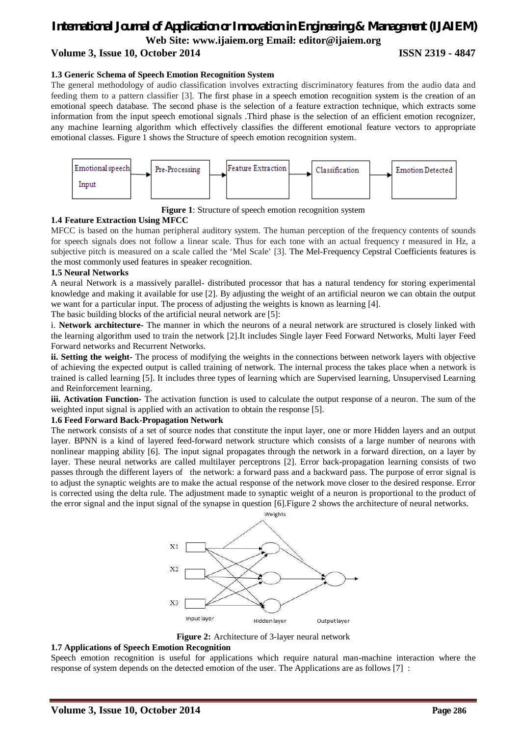#### *International Journal of Application or Innovation in Engineering & Management (IJAIEM)* **Web Site: www.ijaiem.org Email: editor@ijaiem.org Volume 3, Issue 10, October 2014 ISSN 2319 - 4847**

#### **1.3 Generic Schema of Speech Emotion Recognition System**

The general methodology of audio classification involves extracting discriminatory features from the audio data and feeding them to a pattern classifier [3]. The first phase in a speech emotion recognition system is the creation of an emotional speech database. The second phase is the selection of a feature extraction technique, which extracts some information from the input speech emotional signals .Third phase is the selection of an efficient emotion recognizer, any machine learning algorithm which effectively classifies the different emotional feature vectors to appropriate emotional classes. Figure 1 shows the Structure of speech emotion recognition system.



**Figure 1**: Structure of speech emotion recognition system

#### **1.4 Feature Extraction Using MFCC**

MFCC is based on the human peripheral auditory system. The human perception of the frequency contents of sounds for speech signals does not follow a linear scale. Thus for each tone with an actual frequency *t* measured in Hz, a subjective pitch is measured on a scale called the 'Mel Scale' [3]. The Mel-Frequency Cepstral Coefficients features is the most commonly used features in speaker recognition.

#### **1.5 Neural Networks**

A neural Network is a massively parallel- distributed processor that has a natural tendency for storing experimental knowledge and making it available for use [2]. By adjusting the weight of an artificial neuron we can obtain the output we want for a particular input. The process of adjusting the weights is known as learning [4].

The basic building blocks of the artificial neural network are [5]:

i. **Network architecture-** The manner in which the neurons of a neural network are structured is closely linked with the learning algorithm used to train the network [2].It includes Single layer Feed Forward Networks, Multi layer Feed Forward networks and Recurrent Networks.

**ii. Setting the weight-** The process of modifying the weights in the connections between network layers with objective of achieving the expected output is called training of network. The internal process the takes place when a network is trained is called learning [5]. It includes three types of learning which are Supervised learning, Unsupervised Learning and Reinforcement learning.

**iii. Activation Function-** The activation function is used to calculate the output response of a neuron. The sum of the weighted input signal is applied with an activation to obtain the response [5].

#### **1.6 Feed Forward Back-Propagation Network**

The network consists of a set of source nodes that constitute the input layer, one or more Hidden layers and an output layer. BPNN is a kind of layered feed-forward network structure which consists of a large number of neurons with nonlinear mapping ability [6]. The input signal propagates through the network in a forward direction, on a layer by layer. These neural networks are called multilayer perceptrons [2]. Error back-propagation learning consists of two passes through the different layers of the network: a forward pass and a backward pass. The purpose of error signal is to adjust the synaptic weights are to make the actual response of the network move closer to the desired response. Error is corrected using the delta rule. The adjustment made to synaptic weight of a neuron is proportional to the product of the error signal and the input signal of the synapse in question [6].Figure 2 shows the architecture of neural networks.

Weights



**Figure 2:** Architecture of 3-layer neural network

#### **1.7 Applications of Speech Emotion Recognition**

Speech emotion recognition is useful for applications which require natural man-machine interaction where the response of system depends on the detected emotion of the user. The Applications are as follows [7] :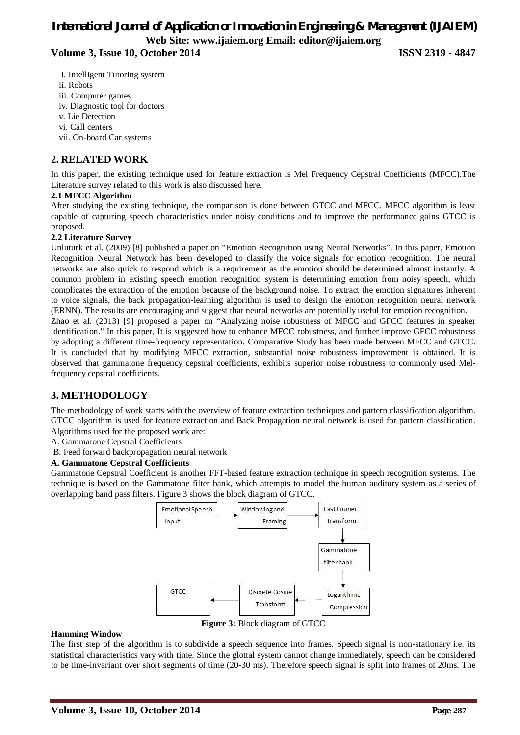**Volume 3, Issue 10, October 2014 ISSN 2319 - 4847**

- i. Intelligent Tutoring system
- ii. Robots
- iii. Computer games
- iv. Diagnostic tool for doctors
- v. Lie Detection
- vi. Call centers
- vii. On-board Car systems

#### **2. RELATED WORK**

In this paper, the existing technique used for feature extraction is Mel Frequency Cepstral Coefficients (MFCC).The Literature survey related to this work is also discussed here.

#### **2.1 MFCC Algorithm**

After studying the existing technique, the comparison is done between GTCC and MFCC. MFCC algorithm is least capable of capturing speech characteristics under noisy conditions and to improve the performance gains GTCC is proposed.

#### **2.2 Literature Survey**

Unluturk et al. (2009) [8] published a paper on "Emotion Recognition using Neural Networks". In this paper, Emotion Recognition Neural Network has been developed to classify the voice signals for emotion recognition. The neural networks are also quick to respond which is a requirement as the emotion should be determined almost instantly. A common problem in existing speech emotion recognition system is determining emotion from noisy speech, which complicates the extraction of the emotion because of the background noise. To extract the emotion signatures inherent to voice signals, the back propagation-learning algorithm is used to design the emotion recognition neural network (ERNN). The results are encouraging and suggest that neural networks are potentially useful for emotion recognition. Zhao et al. (2013) [9] proposed a paper on "Analyzing noise robustness of MFCC and GFCC features in speaker identification." In this paper, It is suggested how to enhance MFCC robustness, and further improve GFCC robustness by adopting a different time-frequency representation. Comparative Study has been made between MFCC and GTCC. It is concluded that by modifying MFCC extraction, substantial noise robustness improvement is obtained. It is observed that gammatone frequency cepstral coefficients, exhibits superior noise robustness to commonly used Mel-

frequency cepstral coefficients.

#### **3. METHODOLOGY**

The methodology of work starts with the overview of feature extraction techniques and pattern classification algorithm. GTCC algorithm is used for feature extraction and Back Propagation neural network is used for pattern classification. Algorithms used for the proposed work are:

A. Gammatone Cepstral Coefficients

B. Feed forward backpropagation neural network

#### **A. Gammatone Cepstral Coefficients**

Gammatone Cepstral Coefficient is another FFT-based feature extraction technique in speech recognition systems. The technique is based on the Gammatone filter bank, which attempts to model the human auditory system as a series of overlapping band pass filters. Figure 3 shows the block diagram of GTCC.



**Figure 3:** Block diagram of GTCC

#### **Hamming Window**

The first step of the algorithm is to subdivide a speech sequence into frames. Speech signal is non-stationary i.e. its statistical characteristics vary with time. Since the glottal system cannot change immediately, speech can be considered to be time-invariant over short segments of time (20-30 ms). Therefore speech signal is split into frames of 20ms. The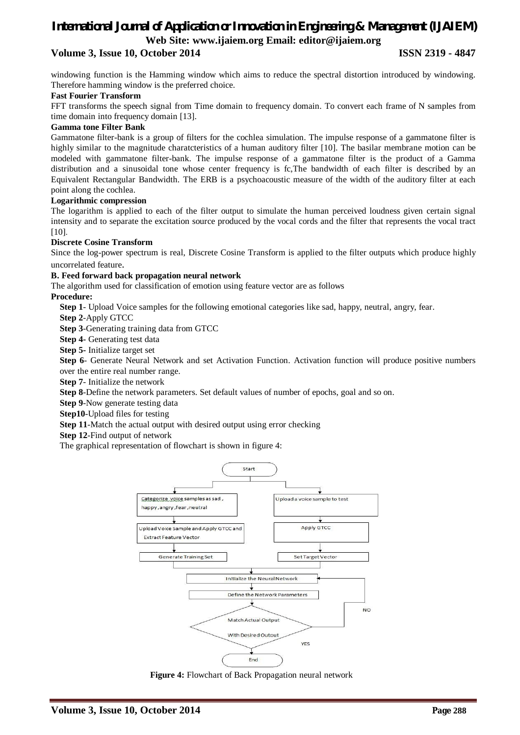#### **Volume 3, Issue 10, October 2014 ISSN 2319 - 4847**

windowing function is the Hamming window which aims to reduce the spectral distortion introduced by windowing. Therefore hamming window is the preferred choice.

#### **Fast Fourier Transform**

FFT transforms the speech signal from Time domain to frequency domain. To convert each frame of N samples from time domain into frequency domain [13].

#### **Gamma tone Filter Bank**

Gammatone filter-bank is a group of filters for the cochlea simulation. The impulse response of a gammatone filter is highly similar to the magnitude charatcteristics of a human auditory filter [10]. The basilar membrane motion can be modeled with gammatone filter-bank. The impulse response of a gammatone filter is the product of a Gamma distribution and a sinusoidal tone whose center frequency is fc,The bandwidth of each filter is described by an Equivalent Rectangular Bandwidth. The ERB is a psychoacoustic measure of the width of the auditory filter at each point along the cochlea.

#### **Logarithmic compression**

The logarithm is applied to each of the filter output to simulate the human perceived loudness given certain signal intensity and to separate the excitation source produced by the vocal cords and the filter that represents the vocal tract [10].

#### **Discrete Cosine Transform**

Since the log-power spectrum is real, Discrete Cosine Transform is applied to the filter outputs which produce highly uncorrelated feature.

#### **B. Feed forward back propagation neural network**

The algorithm used for classification of emotion using feature vector are as follows

**Procedure:** 

**Step 1**- Upload Voice samples for the following emotional categories like sad, happy, neutral, angry, fear.

**Step 2**-Apply GTCC

**Step 3**-Generating training data from GTCC

**Step 4-** Generating test data

**Step 5-** Initialize target set

**Step 6**- Generate Neural Network and set Activation Function. Activation function will produce positive numbers over the entire real number range.

**Step 7**- Initialize the network

**Step 8**-Define the network parameters. Set default values of number of epochs, goal and so on.

**Step 9**-Now generate testing data

**Step10**-Upload files for testing

**Step 11**-Match the actual output with desired output using error checking

**Step 12**-Find output of network

The graphical representation of flowchart is shown in figure 4:



**Figure 4:** Flowchart of Back Propagation neural network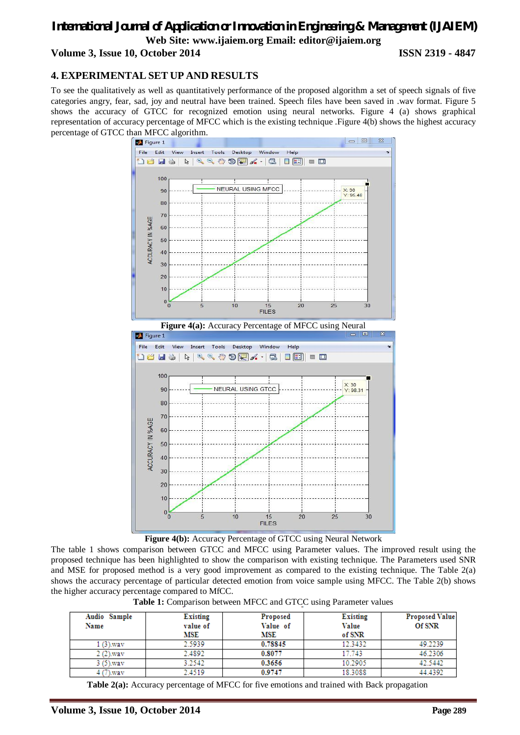**Volume 3, Issue 10, October 2014 ISSN 2319 - 4847**

#### **4. EXPERIMENTAL SET UP AND RESULTS**

To see the qualitatively as well as quantitatively performance of the proposed algorithm a set of speech signals of five categories angry, fear, sad, joy and neutral have been trained. Speech files have been saved in .wav format. Figure 5 shows the accuracy of GTCC for recognized emotion using neural networks. Figure 4 (a) shows graphical representation of accuracy percentage of MFCC which is the existing technique .Figure 4(b) shows the highest accuracy percentage of GTCC than MFCC algorithm.



**Figure 4(b):** Accuracy Percentage of GTCC using Neural Network

The table 1 shows comparison between GTCC and MFCC using Parameter values. The improved result using the proposed technique has been highlighted to show the comparison with existing technique. The Parameters used SNR and MSE for proposed method is a very good improvement as compared to the existing technique. The Table 2(a) shows the accuracy percentage of particular detected emotion from voice sample using MFCC. The Table 2(b) shows the higher accuracy percentage compared to MfCC.

|  |  |  | <b>Table 1:</b> Comparison between MFCC and GTCC using Parameter values |
|--|--|--|-------------------------------------------------------------------------|
|--|--|--|-------------------------------------------------------------------------|

| Audio Sample<br>Name | <b>Existing</b><br>value of<br>MSE | Proposed<br>Value of<br>MSE | <b>Existing</b><br>Value<br>of SNR | <b>Proposed Value</b><br>Of SNR |
|----------------------|------------------------------------|-----------------------------|------------------------------------|---------------------------------|
| 1 (3).wav            | 2.5939                             | 0.78845                     | 12.3432                            | 49.2239                         |
| $2(2)$ way           | 2.4892                             | 0.8077                      | 17.743                             | 46.2306                         |
| $3(5)$ , way         | 3.2542                             | 0.3656                      | 10.2905                            | 42.5442                         |
| .7).wav              | 2.4519                             | 0.9747                      | 18.3088                            | 44.4392                         |

**Table 2(a):** Accuracy percentage of MFCC for five emotions and trained with Back propagation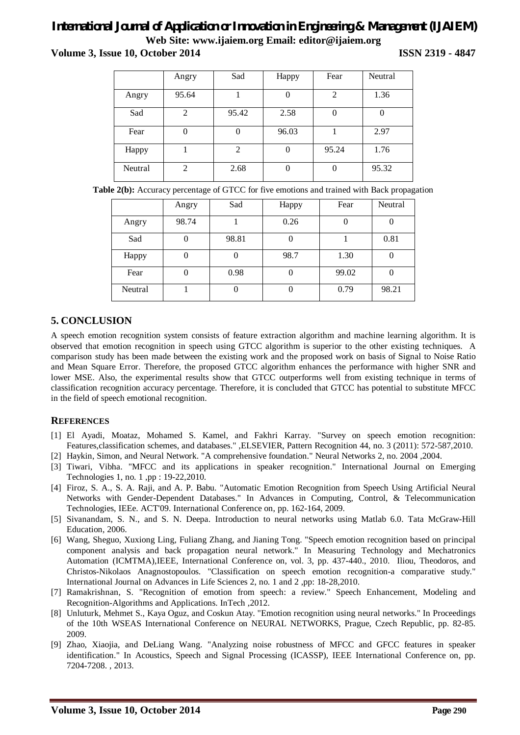**Volume 3, Issue 10, October 2014 ISSN 2319 - 4847**

|         | Angry          | Sad    | Happy | Fear  | Neutral |
|---------|----------------|--------|-------|-------|---------|
| Angry   | 95.64          |        |       | 2     | 1.36    |
| Sad     | 2              | 95.42  | 2.58  |       |         |
| Fear    | U              | $_{0}$ | 96.03 |       | 2.97    |
| Happy   |                | 2      |       | 95.24 | 1.76    |
| Neutral | $\overline{2}$ | 2.68   |       |       | 95.32   |

**Table 2(b):** Accuracy percentage of GTCC for five emotions and trained with Back propagation

|         | Angry | Sad   | Happy | Fear  | Neutral |
|---------|-------|-------|-------|-------|---------|
| Angry   | 98.74 |       | 0.26  |       |         |
| Sad     |       | 98.81 |       |       | 0.81    |
| Happy   |       |       | 98.7  | 1.30  |         |
| Fear    |       | 0.98  |       | 99.02 |         |
| Neutral |       | U     | U     | 0.79  | 98.21   |

## **5. CONCLUSION**

A speech emotion recognition system consists of feature extraction algorithm and machine learning algorithm. It is observed that emotion recognition in speech using GTCC algorithm is superior to the other existing techniques. A comparison study has been made between the existing work and the proposed work on basis of Signal to Noise Ratio and Mean Square Error. Therefore, the proposed GTCC algorithm enhances the performance with higher SNR and lower MSE. Also, the experimental results show that GTCC outperforms well from existing technique in terms of classification recognition accuracy percentage. Therefore, it is concluded that GTCC has potential to substitute MFCC in the field of speech emotional recognition.

#### **REFERENCES**

- [1] El Ayadi, Moataz, Mohamed S. Kamel, and Fakhri Karray. "Survey on speech emotion recognition: Features,classification schemes, and databases." ,ELSEVIER, Pattern Recognition 44, no. 3 (2011): 572-587,2010.
- [2] Haykin, Simon, and Neural Network. "A comprehensive foundation." Neural Networks 2, no. 2004 ,2004.
- [3] Tiwari, Vibha. "MFCC and its applications in speaker recognition." International Journal on Emerging Technologies 1, no. 1 ,pp : 19-22,2010.
- [4] Firoz, S. A., S. A. Raji, and A. P. Babu. "Automatic Emotion Recognition from Speech Using Artificial Neural Networks with Gender-Dependent Databases." In Advances in Computing, Control, & Telecommunication Technologies, IEEe. ACT'09. International Conference on, pp. 162-164, 2009.
- [5] Sivanandam, S. N., and S. N. Deepa. Introduction to neural networks using Matlab 6.0. Tata McGraw-Hill Education, 2006.
- [6] Wang, Sheguo, Xuxiong Ling, Fuliang Zhang, and Jianing Tong. "Speech emotion recognition based on principal component analysis and back propagation neural network." In Measuring Technology and Mechatronics Automation (ICMTMA),IEEE, International Conference on, vol. 3, pp. 437-440., 2010. Iliou, Theodoros, and Christos-Nikolaos Anagnostopoulos. "Classification on speech emotion recognition-a comparative study." International Journal on Advances in Life Sciences 2, no. 1 and 2 ,pp: 18-28,2010.
- [7] Ramakrishnan, S. "Recognition of emotion from speech: a review." Speech Enhancement, Modeling and Recognition-Algorithms and Applications. InTech ,2012.
- [8] Unluturk, Mehmet S., Kaya Oguz, and Coskun Atay. "Emotion recognition using neural networks." In Proceedings of the 10th WSEAS International Conference on NEURAL NETWORKS, Prague, Czech Republic, pp. 82-85. 2009.
- [9] Zhao, Xiaojia, and DeLiang Wang. "Analyzing noise robustness of MFCC and GFCC features in speaker identification." In Acoustics, Speech and Signal Processing (ICASSP), IEEE International Conference on, pp. 7204-7208. , 2013.